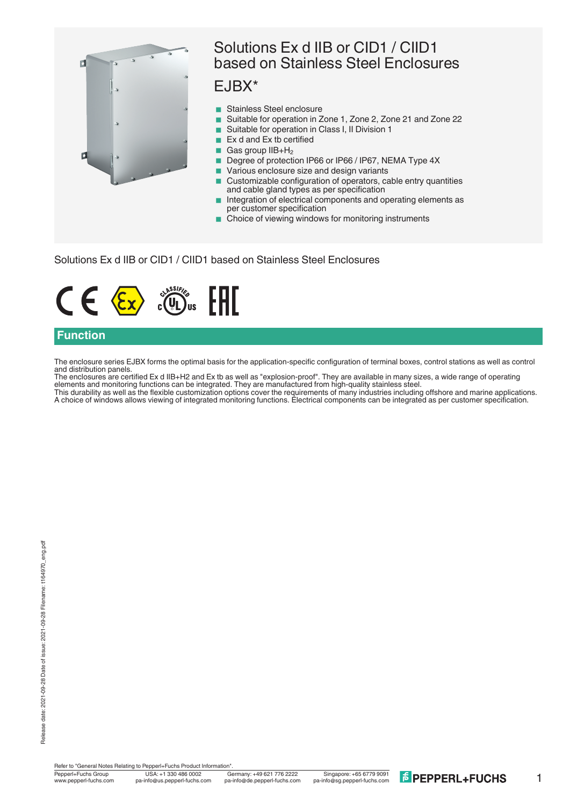

## Solutions Ex d IIB or CID1 / CIID1 based on Stainless Steel Enclosures

## EJBX\*

- Stainless Steel enclosure
- Suitable for operation in Zone 1, Zone 2, Zone 21 and Zone 22
- Suitable for operation in Class I, II Division 1
- $\blacksquare$  Ex d and Ex tb certified
- Gas group  $IIB+H_2$
- Degree of protection IP66 or IP66 / IP67, NEMA Type 4X
- Various enclosure size and design variants
- Customizable configuration of operators, cable entry quantities and cable gland types as per specification
- Integration of electrical components and operating elements as per customer specification
- Choice of viewing windows for monitoring instruments

Solutions Ex d IIB or CID1 / CIID1 based on Stainless Steel Enclosures



### **Function**

The enclosure series EJBX forms the optimal basis for the application-specific configuration of terminal boxes, control stations as well as control and distribution panels.

The enclosures are certified Ex d IIB+H2 and Ex tb as well as "explosion-proof". They are available in many sizes, a wide range of operating elements and monitoring functions can be integrated. They are manufactured from high-quality stainless steel. This durability as well as the flexible customization options cover the requirements of many industries including offshore and marine applications. A choice of windows allows viewing of integrated monitoring functions. Electrical components can be integrated as per customer specification.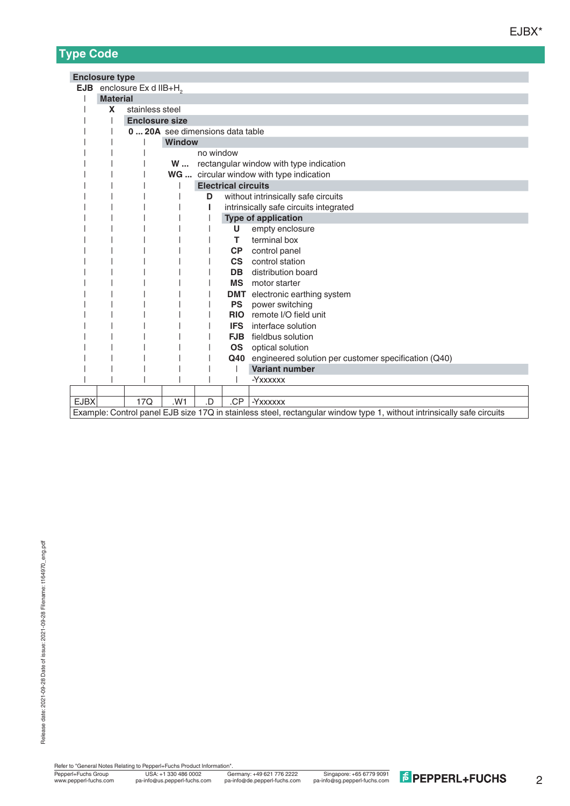# **Type Code**

|             | <b>Enclosure type</b>                                                                                                  |                                   |                                        |    |            |                                                          |  |  |  |  |  |  |
|-------------|------------------------------------------------------------------------------------------------------------------------|-----------------------------------|----------------------------------------|----|------------|----------------------------------------------------------|--|--|--|--|--|--|
| <b>EJB</b>  |                                                                                                                        | enclosure Ex d IIB+H <sub>2</sub> |                                        |    |            |                                                          |  |  |  |  |  |  |
|             | <b>Material</b>                                                                                                        |                                   |                                        |    |            |                                                          |  |  |  |  |  |  |
|             | X                                                                                                                      | stainless steel                   |                                        |    |            |                                                          |  |  |  |  |  |  |
|             | <b>Enclosure size</b>                                                                                                  |                                   |                                        |    |            |                                                          |  |  |  |  |  |  |
|             |                                                                                                                        | 0  20A see dimensions data table  |                                        |    |            |                                                          |  |  |  |  |  |  |
|             |                                                                                                                        |                                   | <b>Window</b>                          |    |            |                                                          |  |  |  |  |  |  |
|             |                                                                                                                        | no window                         |                                        |    |            |                                                          |  |  |  |  |  |  |
|             |                                                                                                                        |                                   |                                        |    |            | W  rectangular window with type indication               |  |  |  |  |  |  |
|             |                                                                                                                        |                                   |                                        |    |            | WG  circular window with type indication                 |  |  |  |  |  |  |
|             |                                                                                                                        | <b>Electrical circuits</b>        |                                        |    |            |                                                          |  |  |  |  |  |  |
|             |                                                                                                                        |                                   |                                        | D  |            | without intrinsically safe circuits                      |  |  |  |  |  |  |
|             |                                                                                                                        |                                   | intrinsically safe circuits integrated |    |            |                                                          |  |  |  |  |  |  |
|             |                                                                                                                        |                                   |                                        |    |            | <b>Type of application</b>                               |  |  |  |  |  |  |
|             |                                                                                                                        |                                   |                                        |    | U          | empty enclosure                                          |  |  |  |  |  |  |
|             |                                                                                                                        |                                   |                                        |    | т          | terminal box                                             |  |  |  |  |  |  |
|             |                                                                                                                        |                                   |                                        |    | <b>CP</b>  | control panel                                            |  |  |  |  |  |  |
|             |                                                                                                                        |                                   |                                        |    | <b>CS</b>  | control station                                          |  |  |  |  |  |  |
|             |                                                                                                                        |                                   |                                        |    | <b>DB</b>  | distribution board                                       |  |  |  |  |  |  |
|             |                                                                                                                        |                                   |                                        |    |            | MS motor starter                                         |  |  |  |  |  |  |
|             |                                                                                                                        |                                   |                                        |    |            | <b>DMT</b> electronic earthing system                    |  |  |  |  |  |  |
|             |                                                                                                                        |                                   |                                        |    | <b>PS</b>  | power switching                                          |  |  |  |  |  |  |
|             |                                                                                                                        |                                   |                                        |    | <b>RIO</b> | remote I/O field unit                                    |  |  |  |  |  |  |
|             |                                                                                                                        |                                   |                                        |    |            | <b>IFS</b> interface solution                            |  |  |  |  |  |  |
|             |                                                                                                                        |                                   |                                        |    | <b>FJB</b> | fieldbus solution                                        |  |  |  |  |  |  |
|             |                                                                                                                        |                                   |                                        |    | OS         | optical solution                                         |  |  |  |  |  |  |
|             |                                                                                                                        |                                   |                                        |    |            | Q40 engineered solution per customer specification (Q40) |  |  |  |  |  |  |
|             |                                                                                                                        |                                   |                                        |    |            | <b>Variant number</b>                                    |  |  |  |  |  |  |
|             |                                                                                                                        |                                   |                                        |    |            | -Yxxxxxx                                                 |  |  |  |  |  |  |
|             |                                                                                                                        |                                   |                                        |    |            |                                                          |  |  |  |  |  |  |
| <b>EJBX</b> |                                                                                                                        | 17Q                               | .W1                                    | .D | .CP        | <b>-Yxxxxxx</b>                                          |  |  |  |  |  |  |
|             | Example: Control panel EJB size 17Q in stainless steel, rectangular window type 1, without intrinsically safe circuits |                                   |                                        |    |            |                                                          |  |  |  |  |  |  |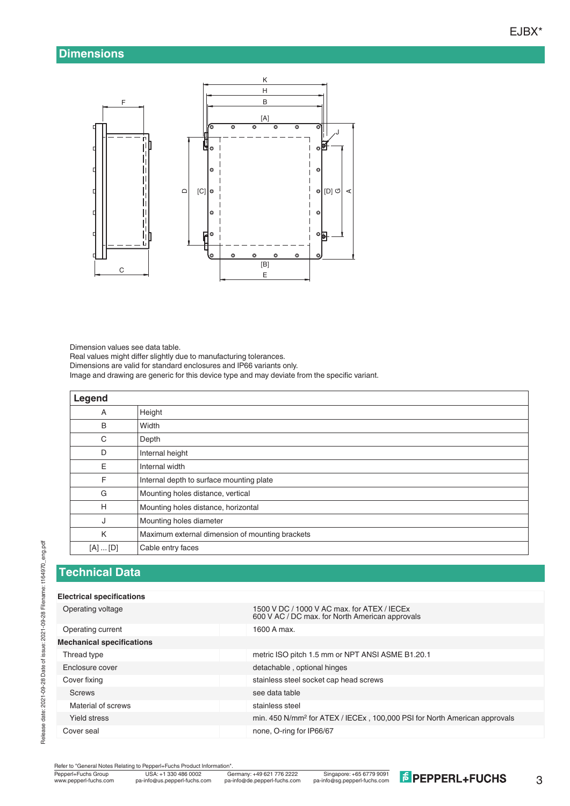### **Dimensions**



Dimension values see data table.

Real values might differ slightly due to manufacturing tolerances. Dimensions are valid for standard enclosures and IP66 variants only. Image and drawing are generic for this device type and may deviate from the specific variant.

| Legend      |                                                 |
|-------------|-------------------------------------------------|
| A           | Height                                          |
| B           | Width                                           |
| C           | Depth                                           |
| D           | Internal height                                 |
| Ε           | Internal width                                  |
| F           | Internal depth to surface mounting plate        |
| G           | Mounting holes distance, vertical               |
| H           | Mounting holes distance, horizontal             |
| J           | Mounting holes diameter                         |
| K           | Maximum external dimension of mounting brackets |
| $[A]$ $[D]$ | Cable entry faces                               |

#### **Technical Data**

#### **Electrical specifications**

| Operating voltage                | 1500 V DC / 1000 V AC max, for ATEX / IECEx<br>600 V AC / DC max. for North American approvals |
|----------------------------------|------------------------------------------------------------------------------------------------|
| Operating current                | 1600 A max.                                                                                    |
| <b>Mechanical specifications</b> |                                                                                                |
| Thread type                      | metric ISO pitch 1.5 mm or NPT ANSI ASME B1.20.1                                               |
| Enclosure cover                  | detachable, optional hinges                                                                    |
| Cover fixing                     | stainless steel socket cap head screws                                                         |
| <b>Screws</b>                    | see data table                                                                                 |
| Material of screws               | stainless steel                                                                                |
| Yield stress                     | min. 450 N/mm <sup>2</sup> for ATEX / IECEx, 100,000 PSI for North American approvals          |
| Cover seal                       | none, O-ring for IP66/67                                                                       |
|                                  |                                                                                                |

Refer to "General Notes Relating to Pepperl+Fuchs Product Information"<br>
Pepperl+Fuchs Group<br>
Www.pepperl-fuchs.com pa-info@us.pepperl-fuchs.com pa

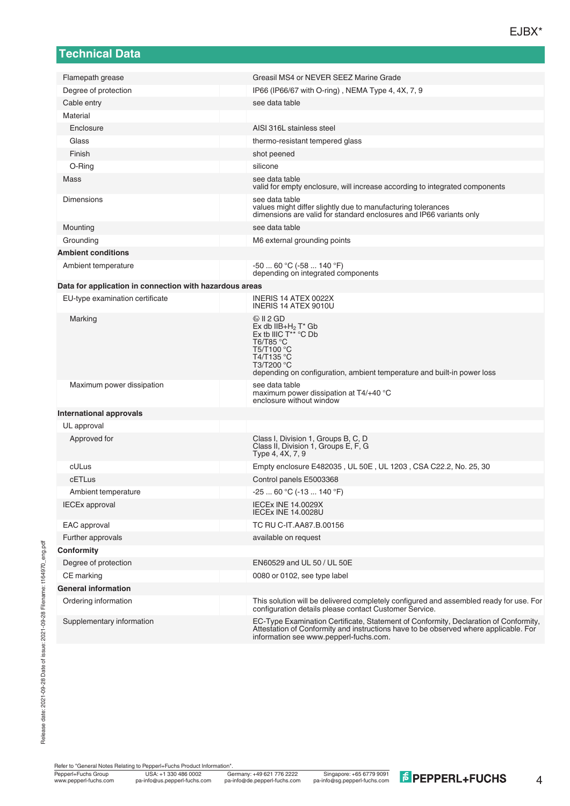| <b>Technical Data</b>                                   |                                                                                                                                                                                                                              |
|---------------------------------------------------------|------------------------------------------------------------------------------------------------------------------------------------------------------------------------------------------------------------------------------|
|                                                         | Greasil MS4 or NEVER SEEZ Marine Grade                                                                                                                                                                                       |
| Flamepath grease<br>Degree of protection                | IP66 (IP66/67 with O-ring), NEMA Type 4, 4X, 7, 9                                                                                                                                                                            |
| Cable entry                                             | see data table                                                                                                                                                                                                               |
| Material                                                |                                                                                                                                                                                                                              |
| Enclosure                                               | AISI 316L stainless steel                                                                                                                                                                                                    |
| Glass                                                   | thermo-resistant tempered glass                                                                                                                                                                                              |
| Finish                                                  | shot peened                                                                                                                                                                                                                  |
| O-Ring                                                  | silicone                                                                                                                                                                                                                     |
| Mass                                                    | see data table                                                                                                                                                                                                               |
|                                                         | valid for empty enclosure, will increase according to integrated components                                                                                                                                                  |
| <b>Dimensions</b>                                       | see data table<br>values might differ slightly due to manufacturing tolerances<br>dimensions are valid for standard enclosures and IP66 variants only                                                                        |
| Mounting                                                | see data table                                                                                                                                                                                                               |
| Grounding                                               | M6 external grounding points                                                                                                                                                                                                 |
| <b>Ambient conditions</b>                               |                                                                                                                                                                                                                              |
| Ambient temperature                                     | $-5060 °C (-58140 °F)$<br>depending on integrated components                                                                                                                                                                 |
| Data for application in connection with hazardous areas |                                                                                                                                                                                                                              |
| EU-type examination certificate                         | INERIS 14 ATEX 0022X<br>INERIS 14 ATEX 9010U                                                                                                                                                                                 |
| Marking                                                 | $\circledcirc$ II 2 GD<br>$Ex$ db $IIB+H_2$ T <sup>*</sup> Gb<br>Ex tb IIIC $T^{**}$ °C Db<br>T6/T85 °C<br>T5/T100 °C<br>T4/T135 °C<br>T3/T200 °C<br>depending on configuration, ambient temperature and built-in power loss |
| Maximum power dissipation                               | see data table<br>maximum power dissipation at $T4/+40$ °C<br>enclosure without window                                                                                                                                       |
| International approvals                                 |                                                                                                                                                                                                                              |
| UL approval                                             |                                                                                                                                                                                                                              |
| Approved for                                            | Class I, Division 1, Groups B, C, D<br>Class II, Division 1, Groups E, F, G<br>Type 4, 4X, 7, 9                                                                                                                              |
| cULus                                                   | Empty enclosure E482035, UL 50E, UL 1203, CSA C22.2, No. 25, 30                                                                                                                                                              |
| cETLus                                                  | Control panels E5003368                                                                                                                                                                                                      |
| Ambient temperature                                     | $-2560 °C (-13140 °F)$                                                                                                                                                                                                       |
| <b>IECEx approval</b>                                   | <b>IECEx INE 14.0029X</b><br><b>IECEX INE 14.0028U</b>                                                                                                                                                                       |
| EAC approval                                            | TC RU C-IT.AA87.B.00156                                                                                                                                                                                                      |
| Further approvals                                       | available on request                                                                                                                                                                                                         |
| Conformity                                              |                                                                                                                                                                                                                              |
| Degree of protection                                    | EN60529 and UL 50 / UL 50E                                                                                                                                                                                                   |
| CE marking                                              | 0080 or 0102, see type label                                                                                                                                                                                                 |
| <b>General information</b>                              |                                                                                                                                                                                                                              |
| Ordering information                                    | This solution will be delivered completely configured and assembled ready for use. For<br>configuration details please contact Customer Service.                                                                             |
| Supplementary information                               | EC-Type Examination Certificate, Statement of Conformity, Declaration of Conformity,<br>Attestation of Conformity and instructions have to be observed where applicable. For                                                 |

Refer to "General Notes Relating to Pepperl+Fuchs Product Information".

information see www.pepperl-fuchs.com.

4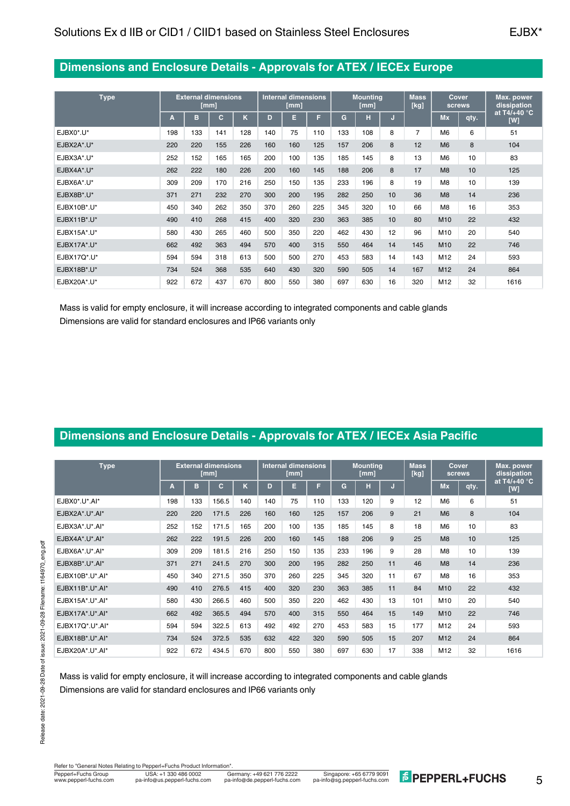## **Dimensions and Enclosure Details - Approvals for ATEX / IECEx Europe**

| <b>Type</b> |     | <b>External dimensions</b><br>[mm] |     |     | <b>Internal dimensions</b><br>[mm] |     |     | <b>Mounting</b><br>[mm] |     |    | <b>Mass</b><br>[kg] | Cover<br>screws |      | Max. power<br>dissipation     |
|-------------|-----|------------------------------------|-----|-----|------------------------------------|-----|-----|-------------------------|-----|----|---------------------|-----------------|------|-------------------------------|
|             | Α   | в                                  | с   | ĸ   | D                                  | Е   | F   | G                       | н   | IJ |                     | Mx              | qty. | at T4/+40 $^{\circ}$ C<br>[W] |
| EJBX0*.U*   | 198 | 133                                | 141 | 128 | 140                                | 75  | 110 | 133                     | 108 | 8  | $\overline{7}$      | M <sub>6</sub>  | 6    | 51                            |
| EJBX2A*.U*  | 220 | 220                                | 155 | 226 | 160                                | 160 | 125 | 157                     | 206 | 8  | 12                  | M <sub>6</sub>  | 8    | 104                           |
| EJBX3A*.U*  | 252 | 152                                | 165 | 165 | 200                                | 100 | 135 | 185                     | 145 | 8  | 13                  | M <sub>6</sub>  | 10   | 83                            |
| EJBX4A*.U*  | 262 | 222                                | 180 | 226 | 200                                | 160 | 145 | 188                     | 206 | 8  | 17                  | M8              | 10   | 125                           |
| EJBX6A*.U*  | 309 | 209                                | 170 | 216 | 250                                | 150 | 135 | 233                     | 196 | 8  | 19                  | M <sub>8</sub>  | 10   | 139                           |
| EJBX8B*.U*  | 371 | 271                                | 232 | 270 | 300                                | 200 | 195 | 282                     | 250 | 10 | 36                  | M8              | 14   | 236                           |
| EJBX10B*.U* | 450 | 340                                | 262 | 350 | 370                                | 260 | 225 | 345                     | 320 | 10 | 66                  | M <sub>8</sub>  | 16   | 353                           |
| EJBX11B*.U* | 490 | 410                                | 268 | 415 | 400                                | 320 | 230 | 363                     | 385 | 10 | 80                  | M <sub>10</sub> | 22   | 432                           |
| EJBX15A*.U* | 580 | 430                                | 265 | 460 | 500                                | 350 | 220 | 462                     | 430 | 12 | 96                  | M10             | 20   | 540                           |
| EJBX17A*.U* | 662 | 492                                | 363 | 494 | 570                                | 400 | 315 | 550                     | 464 | 14 | 145                 | M <sub>10</sub> | 22   | 746                           |
| EJBX17Q*.U* | 594 | 594                                | 318 | 613 | 500                                | 500 | 270 | 453                     | 583 | 14 | 143                 | M12             | 24   | 593                           |
| EJBX18B*.U* | 734 | 524                                | 368 | 535 | 640                                | 430 | 320 | 590                     | 505 | 14 | 167                 | M <sub>12</sub> | 24   | 864                           |
| EJBX20A*.U* | 922 | 672                                | 437 | 670 | 800                                | 550 | 380 | 697                     | 630 | 16 | 320                 | M12             | 32   | 1616                          |

Mass is valid for empty enclosure, it will increase according to integrated components and cable glands Dimensions are valid for standard enclosures and IP66 variants only

## **Dimensions and Enclosure Details - Approvals for ATEX / IECEx Asia Pacific**

| <b>Type</b>        |     |     | <b>External dimensions</b><br>[mm] |     | <b>Internal dimensions</b><br>[mm] |     |     | <b>Mounting</b><br>[mm] |     |    | <b>Mass</b><br>[kg] | Cover<br>screws |      | Max. power<br>dissipation     |
|--------------------|-----|-----|------------------------------------|-----|------------------------------------|-----|-----|-------------------------|-----|----|---------------------|-----------------|------|-------------------------------|
|                    | А   | в   | с                                  | K   | D                                  | Е   | F   | G                       | н   | IJ |                     | <b>Mx</b>       | qty. | at T4/+40 $^{\circ}$ C<br>[W] |
| $EJBX0^*U^*AA^*$   | 198 | 133 | 156.5                              | 140 | 140                                | 75  | 110 | 133                     | 120 | 9  | 12                  | M <sub>6</sub>  | 6    | 51                            |
| EJBX2A*.U*.AI*     | 220 | 220 | 171.5                              | 226 | 160                                | 160 | 125 | 157                     | 206 | 9  | 21                  | M6              | 8    | 104                           |
| EJBX3A*.U*.AI*     | 252 | 152 | 171.5                              | 165 | 200                                | 100 | 135 | 185                     | 145 | 8  | 18                  | M <sub>6</sub>  | 10   | 83                            |
| EJBX4A*.U*.AI*     | 262 | 222 | 191.5                              | 226 | 200                                | 160 | 145 | 188                     | 206 | 9  | 25                  | M8              | 10   | 125                           |
| EJBX6A*.U*.AI*     | 309 | 209 | 181.5                              | 216 | 250                                | 150 | 135 | 233                     | 196 | 9  | 28                  | M <sub>8</sub>  | 10   | 139                           |
| EJBX8B*.U*.AI*     | 371 | 271 | 241.5                              | 270 | 300                                | 200 | 195 | 282                     | 250 | 11 | 46                  | M8              | 14   | 236                           |
| EJBX10B*.U*.AI*    | 450 | 340 | 271.5                              | 350 | 370                                | 260 | 225 | 345                     | 320 | 11 | 67                  | M <sub>8</sub>  | 16   | 353                           |
| $EJBX11B^*U^*AA^*$ | 490 | 410 | 276.5                              | 415 | 400                                | 320 | 230 | 363                     | 385 | 11 | 84                  | M <sub>10</sub> | 22   | 432                           |
| EJBX15A*.U*.AI*    | 580 | 430 | 266.5                              | 460 | 500                                | 350 | 220 | 462                     | 430 | 13 | 101                 | M10             | 20   | 540                           |
| $EJBX17A^*U^*AA^*$ | 662 | 492 | 365.5                              | 494 | 570                                | 400 | 315 | 550                     | 464 | 15 | 149                 | M <sub>10</sub> | 22   | 746                           |
| EJBX17Q*.U*.AI*    | 594 | 594 | 322.5                              | 613 | 492                                | 492 | 270 | 453                     | 583 | 15 | 177                 | M <sub>12</sub> | 24   | 593                           |
| EJBX18B*.U*.AI*    | 734 | 524 | 372.5                              | 535 | 632                                | 422 | 320 | 590                     | 505 | 15 | 207                 | M <sub>12</sub> | 24   | 864                           |
| EJBX20A*.U*.AI*    | 922 | 672 | 434.5                              | 670 | 800                                | 550 | 380 | 697                     | 630 | 17 | 338                 | M12             | 32   | 1616                          |

Mass is valid for empty enclosure, it will increase according to integrated components and cable glands Dimensions are valid for standard enclosures and IP66 variants only